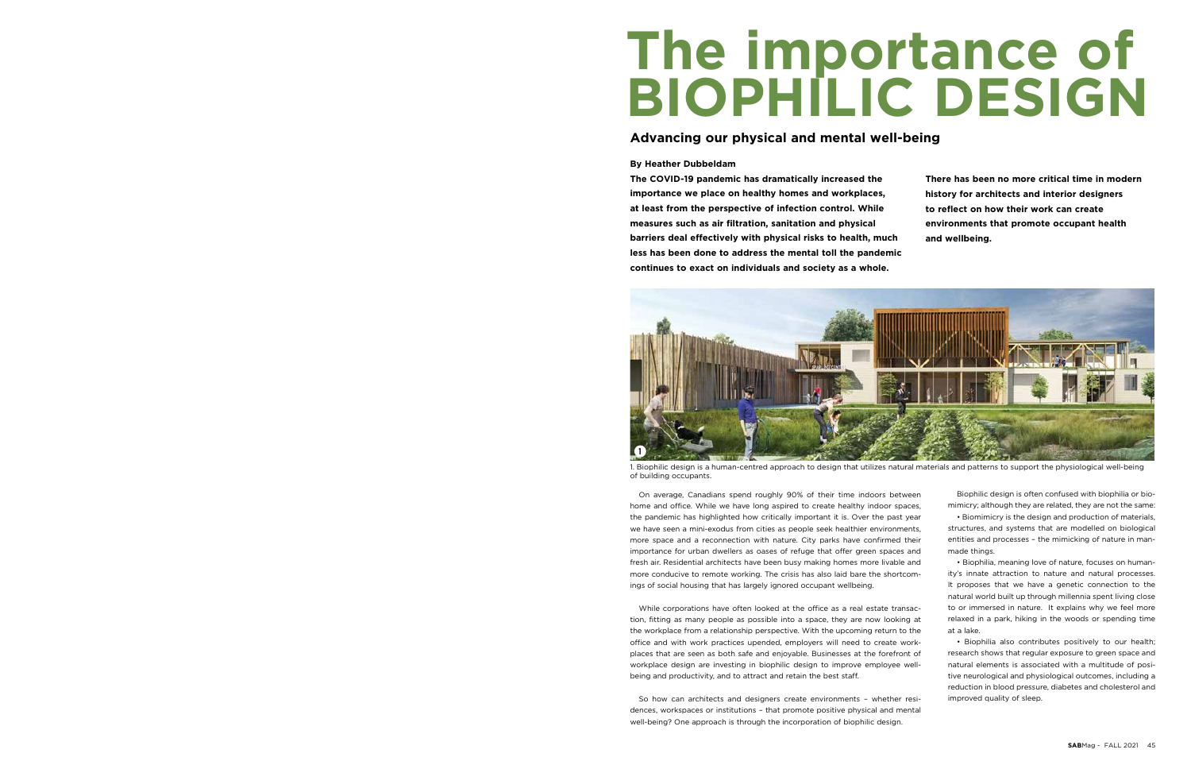# **The importance of BIOPHILIC DESIGN**

### **Advancing our physical and mental well-being**

#### **By Heather Dubbeldam**

**The COVID-19 pandemic has dramatically increased the importance we place on healthy homes and workplaces, at least from the perspective of infection control. While measures such as air filtration, sanitation and physical barriers deal effectively with physical risks to health, much less has been done to address the mental toll the pandemic continues to exact on individuals and society as a whole.**

**There has been no more critical time in modern history for architects and interior designers to reflect on how their work can create environments that promote occupant health and wellbeing.** 

On average, Canadians spend roughly 90% of their time indoors between home and office. While we have long aspired to create healthy indoor spaces, the pandemic has highlighted how critically important it is. Over the past year we have seen a mini-exodus from cities as people seek healthier environments, more space and a reconnection with nature. City parks have confirmed their importance for urban dwellers as oases of refuge that offer green spaces and fresh air. Residential architects have been busy making homes more livable and more conducive to remote working. The crisis has also laid bare the shortcomings of social housing that has largely ignored occupant wellbeing.

While corporations have often looked at the office as a real estate transaction, fitting as many people as possible into a space, they are now looking at the workplace from a relationship perspective. With the upcoming return to the office and with work practices upended, employers will need to create workplaces that are seen as both safe and enjoyable. Businesses at the forefront of workplace design are investing in biophilic design to improve employee wellbeing and productivity, and to attract and retain the best staff.

So how can architects and designers create environments – whether residences, workspaces or institutions – that promote positive physical and mental well-being? One approach is through the incorporation of biophilic design.

Biophilic design is often confused with biophilia or biomimicry; although they are related, they are not the same:

• Biomimicry is the design and production of materials, structures, and systems that are modelled on biological entities and processes – the mimicking of nature in manmade things.

• Biophilia, meaning love of nature, focuses on humanity's innate attraction to nature and natural processes. It proposes that we have a genetic connection to the natural world built up through millennia spent living close to or immersed in nature. It explains why we feel more relaxed in a park, hiking in the woods or spending time at a lake.

• Biophilia also contributes positively to our health; research shows that regular exposure to green space and natural elements is associated with a multitude of positive neurological and physiological outcomes, including a reduction in blood pressure, diabetes and cholesterol and improved quality of sleep.



1. Biophilic design is a human-centred approach to design that utilizes natural materials and patterns to support the physiological well-being of building occupants.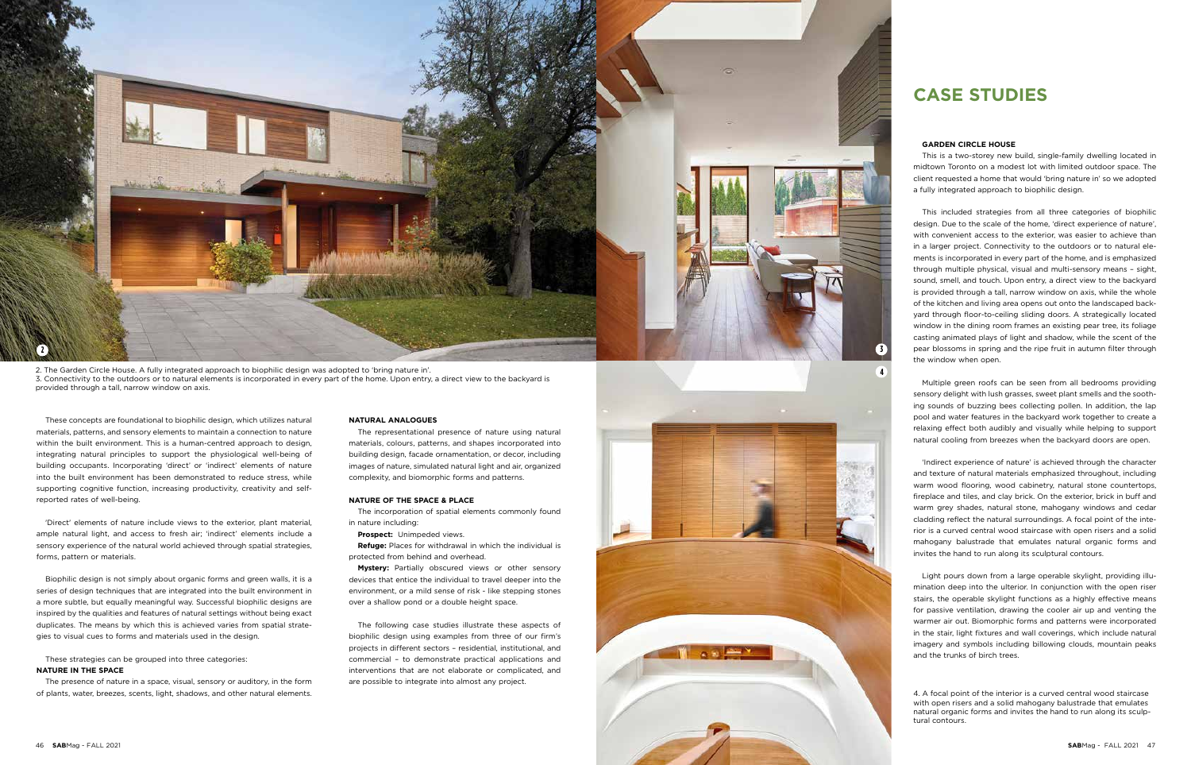These concepts are foundational to biophilic design, which utilizes natural materials, patterns, and sensory elements to maintain a connection to nature within the built environment. This is a human-centred approach to design, integrating natural principles to support the physiological well-being of building occupants. Incorporating 'direct' or 'indirect' elements of nature into the built environment has been demonstrated to reduce stress, while supporting cognitive function, increasing productivity, creativity and selfreported rates of well-being.

'Direct' elements of nature include views to the exterior, plant material, ample natural light, and access to fresh air; 'indirect' elements include a sensory experience of the natural world achieved through spatial strategies, forms, pattern or materials.

Biophilic design is not simply about organic forms and green walls, it is a series of design techniques that are integrated into the built environment in a more subtle, but equally meaningful way. Successful biophilic designs are inspired by the qualities and features of natural settings without being exact duplicates. The means by which this is achieved varies from spatial strategies to visual cues to forms and materials used in the design.

These strategies can be grouped into three categories: **NATURE IN THE SPACE** 

The presence of nature in a space, visual, sensory or auditory, in the form of plants, water, breezes, scents, light, shadows, and other natural elements.

#### **NATURAL ANALOGUES**

The representational presence of nature using natural materials, colours, patterns, and shapes incorporated into building design, facade ornamentation, or decor, including images of nature, simulated natural light and air, organized complexity, and biomorphic forms and patterns.

#### **NATURE OF THE SPACE & PLACE**

The incorporation of spatial elements commonly found in nature including:

**Prospect:** Unimpeded views.

**Refuge:** Places for withdrawal in which the individual is protected from behind and overhead.

**Mystery:** Partially obscured views or other sensory devices that entice the individual to travel deeper into the environment, or a mild sense of risk - like stepping stones over a shallow pond or a double height space.

The following case studies illustrate these aspects of biophilic design using examples from three of our firm's projects in different sectors – residential, institutional, and commercial – to demonstrate practical applications and interventions that are not elaborate or complicated, and are possible to integrate into almost any project.

## **CASE STUDIES**

#### **GARDEN CIRCLE HOUSE**

This is a two-storey new build, single-family dwelling located in midtown Toronto on a modest lot with limited outdoor space. The client requested a home that would 'bring nature in' so we adopted a fully integrated approach to biophilic design.



This included strategies from all three categories of biophilic design. Due to the scale of the home, 'direct experience of nature', with convenient access to the exterior, was easier to achieve than in a larger project. Connectivity to the outdoors or to natural elements is incorporated in every part of the home, and is emphasized through multiple physical, visual and multi-sensory means – sight, sound, smell, and touch. Upon entry, a direct view to the backyard is provided through a tall, narrow window on axis, while the whole of the kitchen and living area opens out onto the landscaped backyard through floor-to-ceiling sliding doors. A strategically located window in the dining room frames an existing pear tree, its foliage casting animated plays of light and shadow, while the scent of the pear blossoms in spring and the ripe fruit in autumn filter through the window when open.

Multiple green roofs can be seen from all bedrooms providing sensory delight with lush grasses, sweet plant smells and the soothing sounds of buzzing bees collecting pollen. In addition, the lap pool and water features in the backyard work together to create a relaxing effect both audibly and visually while helping to support natural cooling from breezes when the backyard doors are open.

'Indirect experience of nature' is achieved through the character and texture of natural materials emphasized throughout, including warm wood flooring, wood cabinetry, natural stone countertops, fireplace and tiles, and clay brick. On the exterior, brick in buff and warm grey shades, natural stone, mahogany windows and cedar cladding reflect the natural surroundings. A focal point of the interior is a curved central wood staircase with open risers and a solid mahogany balustrade that emulates natural organic forms and invites the hand to run along its sculptural contours.

Light pours down from a large operable skylight, providing illumination deep into the ulterior. In conjunction with the open riser stairs, the operable skylight functions as a highly effective means for passive ventilation, drawing the cooler air up and venting the warmer air out. Biomorphic forms and patterns were incorporated in the stair, light fixtures and wall coverings, which include natural imagery and symbols including billowing clouds, mountain peaks and the trunks of birch trees.

4. A focal point of the interior is a curved central wood staircase with open risers and a solid mahogany balustrade that emulates natural organic forms and invites the hand to run along its sculptural contours.

2. The Garden Circle House. A fully integrated approach to biophilic design was adopted to 'bring nature in'. 3. Connectivity to the outdoors or to natural elements is incorporated in every part of the home. Upon entry, a direct view to the backyard is provided through a tall, narrow window on axis.

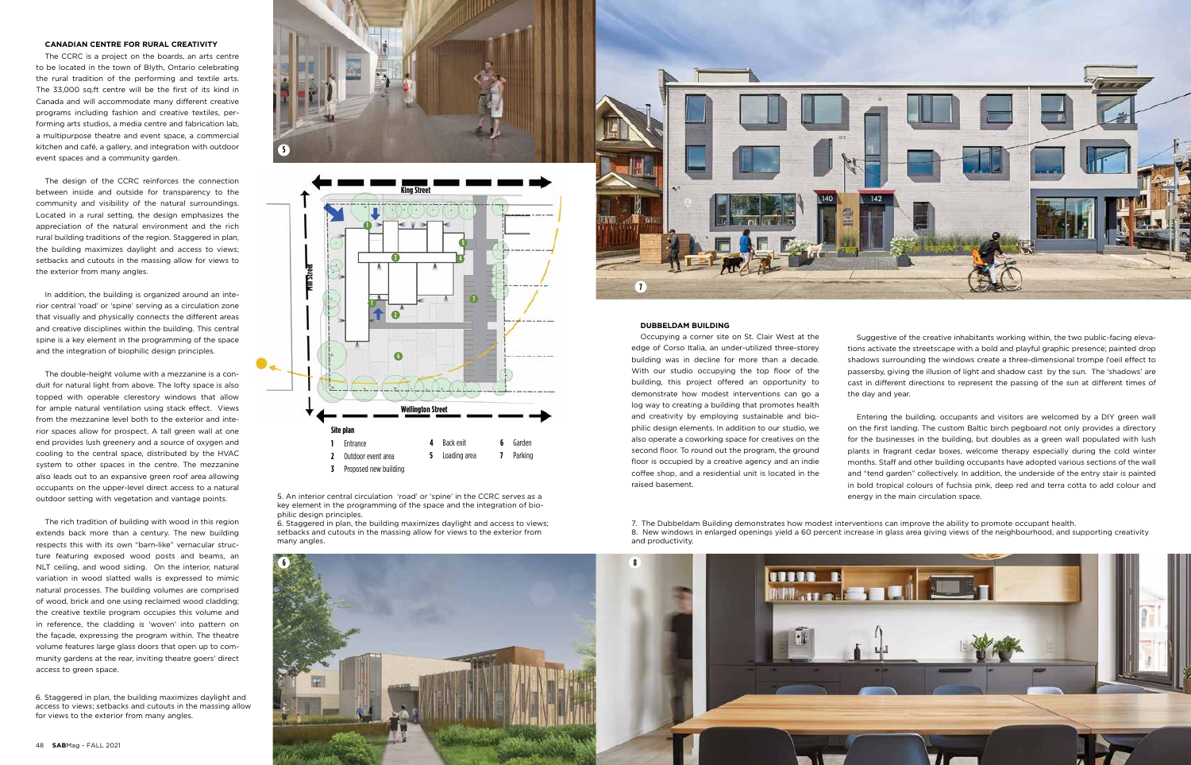#### **CANADIAN CENTRE FOR RURAL CREATIVITY**

The CCRC is a project on the boards, an arts centre to be located in the town of Blyth, Ontario celebrating the rural tradition of the performing and textile arts. The 33,000 sq.ft centre will be the first of its kind in Canada and will accommodate many different creative programs including fashion and creative textiles, performing arts studios, a media centre and fabrication lab, a multipurpose theatre and event space, a commercial kitchen and café, a gallery, and integration with outdoor event spaces and a community garden.

The design of the CCRC reinforces the connection between inside and outside for transparency to the community and visibility of the natural surroundings. Located in a rural setting, the design emphasizes the appreciation of the natural environment and the rich rural building traditions of the region. Staggered in plan, the building maximizes daylight and access to views; setbacks and cutouts in the massing allow for views to the exterior from many angles.

In addition, the building is organized around an interior central 'road' or 'spine' serving as a circulation zone that visually and physically connects the different areas and creative disciplines within the building. This central spine is a key element in the programming of the space and the integration of biophilic design principles.

The double-height volume with a mezzanine is a conduit for natural light from above. The lofty space is also topped with operable clerestory windows that allow for ample natural ventilation using stack effect. Views from the mezzanine level both to the exterior and interior spaces allow for prospect. A tall green wall at one end provides lush greenery and a source of oxygen and cooling to the central space, distributed by the HVAC system to other spaces in the centre. The mezzanine also leads out to an expansive green roof area allowing occupants on the upper-level direct access to a natural outdoor setting with vegetation and vantage points.

The rich tradition of building with wood in this region extends back more than a century. The new building respects this with its own "barn-like" vernacular structure featuring exposed wood posts and beams, an NLT ceiling, and wood siding. On the interior, natural variation in wood slatted walls is expressed to mimic natural processes. The building volumes are comprised of wood, brick and one using reclaimed wood cladding; the creative textile program occupies this volume and in reference, the cladding is 'woven' into pattern on the façade, expressing the program within. The theatre volume features large glass doors that open up to community gardens at the rear, inviting theatre goers' direct access to green space.





#### **DUBBELDAM BUILDING**

Occupying a corner site on St. Clair West at the edge of Corso Italia, an under-utilized three-storey building was in decline for more than a decade. With our studio occupying the top floor of the building, this project offered an opportunity to demonstrate how modest interventions can go a log way to creating a building that promotes health and creativity by employing sustainable and biophilic design elements. In addition to our studio, we also operate a coworking space for creatives on the second floor. To round out the program, the ground floor is occupied by a creative agency and an indie coffee shop, and a residential unit is located in the raised basement.

Suggestive of the creative inhabitants working within, the two public-facing elevations activate the streetscape with a bold and playful graphic presence; painted drop shadows surrounding the windows create a three-dimensional trompe l'oeil effect to passersby, giving the illusion of light and shadow cast by the sun. The 'shadows' are cast in different directions to represent the passing of the sun at different times of

the day and year.

Entering the building, occupants and visitors are welcomed by a DIY green wall on the first landing. The custom Baltic birch pegboard not only provides a directory for the businesses in the building, but doubles as a green wall populated with lush plants in fragrant cedar boxes, welcome therapy especially during the cold winter months. Staff and other building occupants have adopted various sections of the wall and "tend garden" collectively. In addition, the underside of the entry stair is painted in bold tropical colours of fuchsia pink, deep red and terra cotta to add colour and energy in the main circulation space.

7. The Dubbeldam Building demonstrates how modest interventions can improve the ability to promote occupant health. 8. New windows in enlarged openings yield a 60 percent increase in glass area giving views of the neighbourhood, and supporting creativity and productivity.







6. Staggered in plan, the building maximizes daylight and access to views; setbacks and cutouts in the massing allow for views to the exterior from many angles.

5. An interior central circulation 'road' or 'spine' in the CCRC serves as a key element in the programming of the space and the integration of biophilic design principles.

6. Staggered in plan, the building maximizes daylight and access to views; setbacks and cutouts in the massing allow for views to the exterior from many angles.